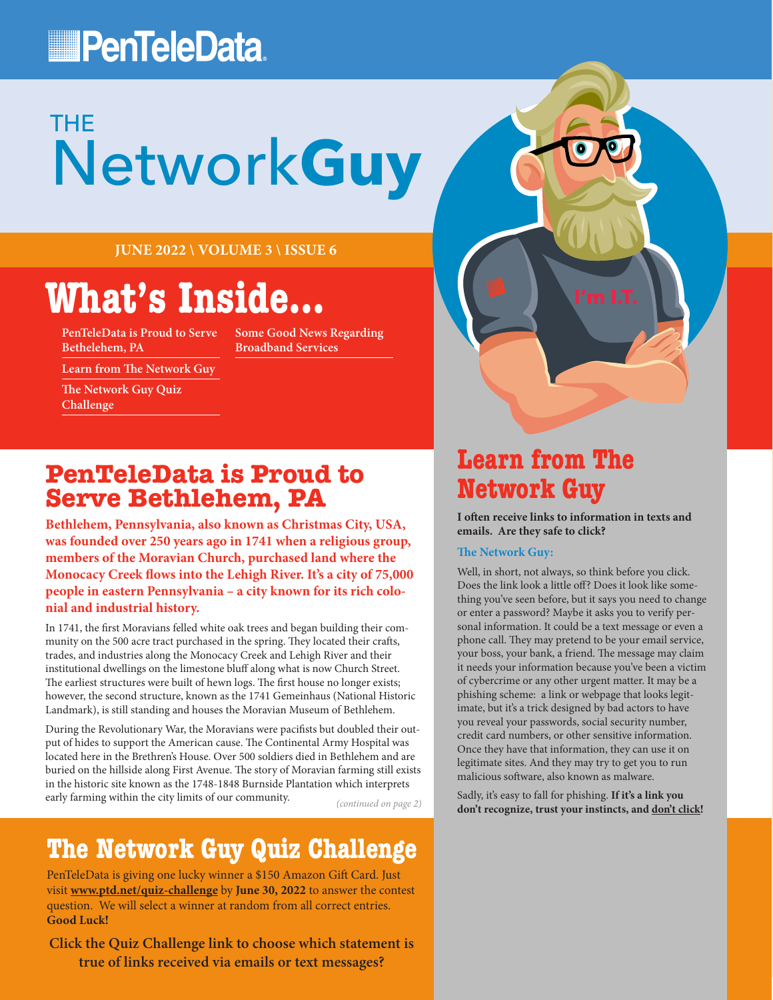## **PenTeleData**

# Network**Guy** THE

**JUNE 2022 \ VOLUME 3 \ ISSUE 6**

# **What's Inside...**

**PenTeleData is Proud to Serve Bethelehem, PA**

**Some Good News Regarding Broadband Services**

**Learn from The Network Guy**

**The Network Guy Quiz Challenge**

#### **PenTeleData is Proud to Serve Bethlehem, PA**

**Bethlehem, Pennsylvania, also known as Christmas City, USA, was founded over 250 years ago in 1741 when a religious group, members of the Moravian Church, purchased land where the Monocacy Creek flows into the Lehigh River. It's a city of 75,000 people in eastern Pennsylvania – a city known for its rich colonial and industrial history.** 

In 1741, the first Moravians felled white oak trees and began building their community on the 500 acre tract purchased in the spring. They located their crafts, trades, and industries along the Monocacy Creek and Lehigh River and their institutional dwellings on the limestone bluff along what is now Church Street. The earliest structures were built of hewn logs. The first house no longer exists; however, the second structure, known as the 1741 Gemeinhaus (National Historic Landmark), is still standing and houses the Moravian Museum of Bethlehem.

During the Revolutionary War, the Moravians were pacifists but doubled their output of hides to support the American cause. The Continental Army Hospital was located here in the Brethren's House. Over 500 soldiers died in Bethlehem and are buried on the hillside along First Avenue. The story of Moravian farming still exists in the historic site known as the 1748-1848 Burnside Plantation which interprets early farming within the city limits of our community.

*(continued on page 2)*

### **The Network Guy Quiz Challenge**

PenTeleData is giving one lucky winner a \$150 Amazon Gift Card. Just visit **[www.ptd.net/quiz-challenge](http://www.ptd.net/quiz-challenge)** by **June 30, 2022** to answer the contest question. We will select a winner at random from all correct entries. **Good Luck!**

**Click the Quiz Challenge link to choose which statement is true of links received via emails or text messages?**

### **Learn from The Network Guy**

**I often receive links to information in texts and emails. Are they safe to click?**

#### **The Network Guy:**

Well, in short, not always, so think before you click. Does the link look a little off? Does it look like something you've seen before, but it says you need to change or enter a password? Maybe it asks you to verify personal information. It could be a text message or even a phone call. They may pretend to be your email service, your boss, your bank, a friend. The message may claim it needs your information because you've been a victim of cybercrime or any other urgent matter. It may be a phishing scheme: a link or webpage that looks legitimate, but it's a trick designed by bad actors to have you reveal your passwords, social security number, credit card numbers, or other sensitive information. Once they have that information, they can use it on legitimate sites. And they may try to get you to run malicious software, also known as malware.

Sadly, it's easy to fall for phishing. **If it's a link you don't recognize, trust your instincts, and don't click!**